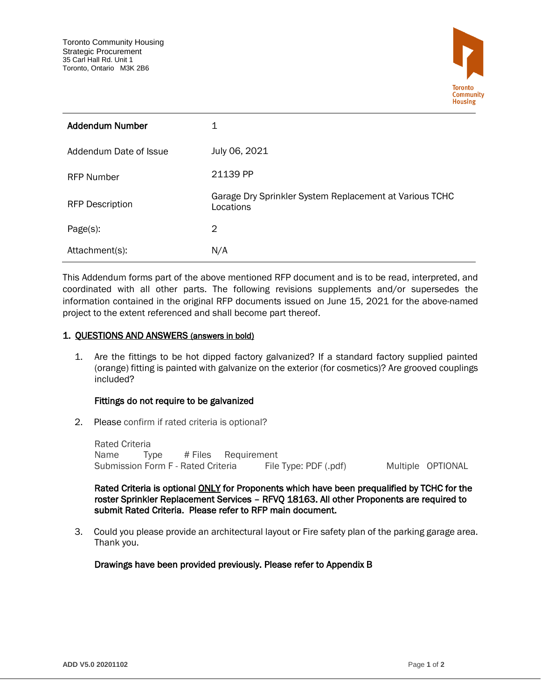

| <b>Addendum Number</b> | 1                                                                    |
|------------------------|----------------------------------------------------------------------|
| Addendum Date of Issue | July 06, 2021                                                        |
| <b>RFP Number</b>      | 21139 PP                                                             |
| <b>RFP Description</b> | Garage Dry Sprinkler System Replacement at Various TCHC<br>Locations |
| Page(s):               | 2                                                                    |
| Attachment(s):         | N/A                                                                  |

This Addendum forms part of the above mentioned RFP document and is to be read, interpreted, and coordinated with all other parts. The following revisions supplements and/or supersedes the information contained in the original RFP documents issued on June 15, 2021 for the above-named project to the extent referenced and shall become part thereof.

## 1. QUESTIONS AND ANSWERS (answers in bold)

1. Are the fittings to be hot dipped factory galvanized? If a standard factory supplied painted (orange) fitting is painted with galvanize on the exterior (for cosmetics)? Are grooved couplings included?

## Fittings do not require to be galvanized

2. Please confirm if rated criteria is optional?

Rated Criteria Name Type # Files Requirement Submission Form F - Rated Criteria File Type: PDF (.pdf) Multiple OPTIONAL

Rated Criteria is optional **ONLY** for Proponents which have been prequalified by TCHC for the roster Sprinkler Replacement Services – RFVQ 18163. All other Proponents are required to submit Rated Criteria. Please refer to RFP main document.

3. Could you please provide an architectural layout or Fire safety plan of the parking garage area. Thank you.

Drawings have been provided previously. Please refer to Appendix B